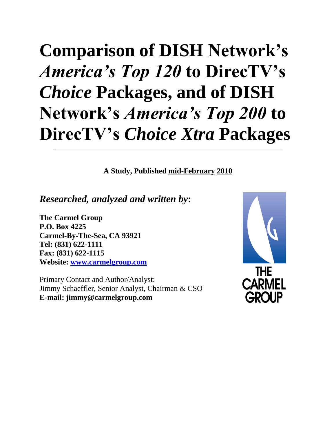# **Comparison of DISH Network's**  *America's Top 120* **to DirecTV's**  *Choice* **Packages, and of DISH Network's** *America's Top 200* **to DirecTV's** *Choice Xtra* **Packages**

**A Study, Published mid-February 2010**

*Researched, analyzed and written by***:**

**The Carmel Group P.O. Box 4225 Carmel-By-The-Sea, CA 93921 Tel: (831) 622-1111 Fax: (831) 622-1115 Website: [www.carmelgroup.com](http://www.carmelgroup.com/)**

Primary Contact and Author/Analyst: Jimmy Schaeffler, Senior Analyst, Chairman & CSO **E-mail: jimmy@carmelgroup.com**

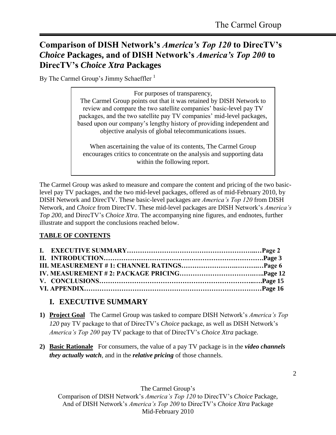# **Comparison of DISH Network's** *America's Top 120* **to DirecTV's**  *Choice* **Packages, and of DISH Network's** *America's Top 200* **to DirecTV's** *Choice Xtra* **Packages**

By The Carmel Group's Jimmy Schaeffler<sup>1</sup>

For purposes of transparency, The Carmel Group points out that it was retained by DISH Network to review and compare the two satellite companies' basic-level pay TV packages, and the two satellite pay TV companies' mid-level packages, based upon our company's lengthy history of providing independent and objective analysis of global telecommunications issues.

When ascertaining the value of its contents, The Carmel Group encourages critics to concentrate on the analysis and supporting data within the following report.

The Carmel Group was asked to measure and compare the content and pricing of the two basiclevel pay TV packages, and the two mid-level packages, offered as of mid-February 2010, by DISH Network and DirecTV. These basic-level packages are *America's Top 120* from DISH Network, and *Choice* from DirecTV. These mid-level packages are DISH Network's *America's Top 200*, and DirecTV's *Choice Xtra*. The accompanying nine figures, and endnotes, further illustrate and support the conclusions reached below.

## **TABLE OF CONTENTS**

## **I. EXECUTIVE SUMMARY**

- **1) Project Goal** The Carmel Group was tasked to compare DISH Network's *America's Top 120* pay TV package to that of DirecTV's *Choice* package, as well as DISH Network's *America's Top 200* pay TV package to that of DirecTV's *Choice Xtra* package.
- **2) Basic Rationale** For consumers, the value of a pay TV package is in the *video channels they actually watch*, and in the *relative pricing* of those channels.

The Carmel Group's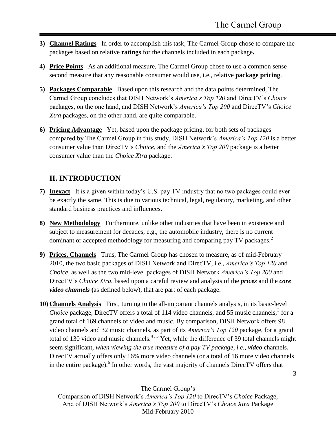- **3) Channel Ratings** In order to accomplish this task, The Carmel Group chose to compare the packages based on relative **ratings** for the channels included in each package**.**
- **4) Price Points** As an additional measure, The Carmel Group chose to use a common sense second measure that any reasonable consumer would use, i.e., relative **package pricing**.
- **5) Packages Comparable** Based upon this research and the data points determined, The Carmel Group concludes that DISH Network's *America's Top 120* and DirecTV's *Choice* packages, on the one hand, and DISH Network's *America's Top 200* and DirecTV's *Choice Xtra* packages, on the other hand, are quite comparable.
- **6) Pricing Advantage** Yet, based upon the package pricing, for both sets of packages compared by The Carmel Group in this study, DISH Network's *America's Top 120* is a better consumer value than DirecTV's *Choice,* and the *America's Top 200* package is a better consumer value than the *Choice Xtra* package.

# **II. INTRODUCTION**

- **7) Inexact** It is a given within today's U.S. pay TV industry that no two packages could ever be exactly the same. This is due to various technical, legal, regulatory, marketing, and other standard business practices and influences.
- **8) New Methodology** Furthermore, unlike other industries that have been in existence and subject to measurement for decades, e.g., the automobile industry, there is no current dominant or accepted methodology for measuring and comparing pay TV packages.<sup>2</sup>
- **9) Prices, Channels** Thus, The Carmel Group has chosen to measure, as of mid-February 2010, the two basic packages of DISH Network and DirecTV, i.e., *America's Top 120* and *Choice*, as well as the two mid-level packages of DISH Network *America's Top 200* and DirecTV's *Choice Xtra*, based upon a careful review and analysis of the *prices* and the *core video channels* **(**as defined below), that are part of each package.
- **10) Channels Analysis** First, turning to the all-important channels analysis, in its basic-level Choice package, DirecTV offers a total of 114 video channels, and 55 music channels,<sup>3</sup> for a grand total of 169 channels of video and music. By comparison, DISH Network offers 98 video channels and 32 music channels, as part of its *America's Top 120* package, for a grand total of 130 video and music channels.<sup>4, 5</sup> Yet, while the difference of 39 total channels might seem significant, *when viewing the true measure of a pay TV package, i.e., video* channels, DirecTV actually offers only 16% more video channels (or a total of 16 more video channels in the entire package). <sup>6</sup> In other words, the vast majority of channels DirecTV offers that

The Carmel Group's

Comparison of DISH Network's *America's Top 120* to DirecTV's *Choice* Package, And of DISH Network's *America's Top 200* to DirecTV's *Choice Xtra* Package Mid-February 2010

3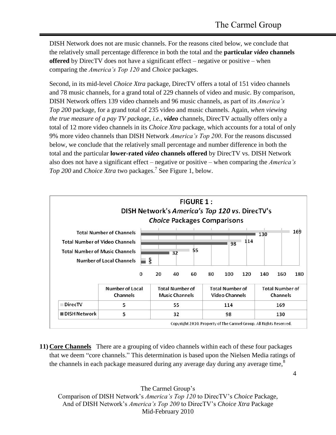4

DISH Network does not are music channels. For the reasons cited below, we conclude that the relatively small percentage difference in both the total and the **particular** *video* **channels offered** by DirecTV does not have a significant effect – negative or positive – when comparing the *America's Top 120* and *Choice* packages.

Second, in its mid-level *Choice Xtra* package, DirecTV offers a total of 151 video channels and 78 music channels, for a grand total of 229 channels of video and music. By comparison, DISH Network offers 139 video channels and 96 music channels, as part of its *America's Top 200* package, for a grand total of 235 video and music channels. Again, *when viewing the true measure of a pay TV package, i.e., video* channels, DirecTV actually offers only a total of 12 more video channels in its *Choice Xtra* package, which accounts for a total of only 9% more video channels than DISH Network *America's Top 200*. For the reasons discussed below, we conclude that the relatively small percentage and number difference in both the total and the particular **lower-rated** *video* **channels offered** by DirecTV vs. DISH Network also does not have a significant effect – negative or positive – when comparing the *America's Top 200* and *Choice Xtra* two packages.<sup>7</sup> See Figure 1, below.



**11) Core Channels** There are a grouping of video channels within each of these four packages that we deem "core channels." This determination is based upon the Nielsen Media ratings of the channels in each package measured during any average day during any average time,<sup>8</sup>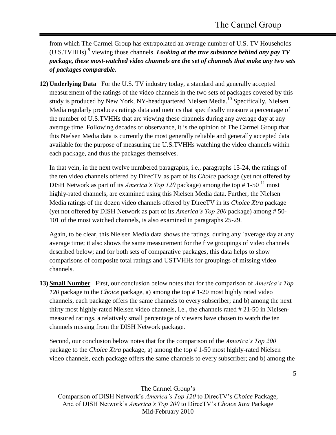from which The Carmel Group has extrapolated an average number of U.S. TV Households (U.S.TVHHs)<sup>9</sup> viewing those channels. *Looking at the true substance behind any pay TV package, these most-watched video channels are the set of channels that make any two sets of packages comparable.* 

**12) Underlying Data** For the U.S. TV industry today, a standard and generally accepted measurement of the ratings of the video channels in the two sets of packages covered by this study is produced by New York, NY-headquartered Nielsen Media.<sup>10</sup> Specifically, Nielsen Media regularly produces ratings data and metrics that specifically measure a percentage of the number of U.S.TVHHs that are viewing these channels during any average day at any average time. Following decades of observance, it is the opinion of The Carmel Group that this Nielsen Media data is currently the most generally reliable and generally accepted data available for the purpose of measuring the U.S.TVHHs watching the video channels within each package, and thus the packages themselves.

In that vein, in the next twelve numbered paragraphs, i.e., paragraphs 13-24, the ratings of the ten video channels offered by DirecTV as part of its *Choice* package (yet not offered by DISH Network as part of its *America's Top 120* package) among the top # 1-50<sup>11</sup> most highly-rated channels, are examined using this Nielsen Media data. Further, the Nielsen Media ratings of the dozen video channels offered by DirecTV in its *Choice Xtra* package (yet not offered by DISH Network as part of its *America's Top 200* package) among # 50- 101 of the most watched channels, is also examined in paragraphs 25-29.

Again, to be clear, this Nielsen Media data shows the ratings, during any `average day at any average time; it also shows the same measurement for the five groupings of video channels described below; and for both sets of comparative packages, this data helps to show comparisons of composite total ratings and USTVHHs for groupings of missing video channels.

**13) Small Number** First, our conclusion below notes that for the comparison of *America's Top 120* package to the *Choice* package, a) among the top # 1-20 most highly rated video channels, each package offers the same channels to every subscriber; and b) among the next thirty most highly-rated Nielsen video channels, i.e., the channels rated # 21-50 in Nielsenmeasured ratings, a relatively small percentage of viewers have chosen to watch the ten channels missing from the DISH Network package.

Second, our conclusion below notes that for the comparison of the *America's Top 200* package to the *Choice Xtra* package, a) among the top # 1-50 most highly-rated Nielsen video channels, each package offers the same channels to every subscriber; and b) among the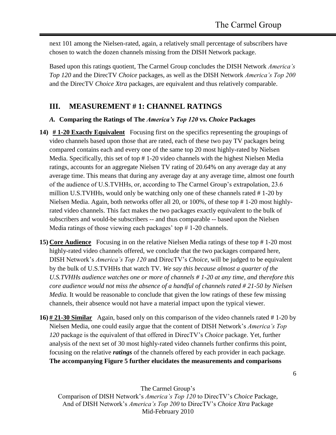next 101 among the Nielsen-rated, again, a relatively small percentage of subscribers have chosen to watch the dozen channels missing from the DISH Network package.

Based upon this ratings quotient, The Carmel Group concludes the DISH Network *America's Top 120* and the DirecTV *Choice* packages, as well as the DISH Network *America's Top 200* and the DirecTV *Choice Xtra* packages, are equivalent and thus relatively comparable.

# **III. MEASUREMENT # 1: CHANNEL RATINGS**

#### *A.* **Comparing the Ratings of The** *America's Top 120* **vs.** *Choice* **Packages**

- **14) # 1-20 Exactly Equivalent** Focusing first on the specifics representing the groupings of video channels based upon those that are rated, each of these two pay TV packages being compared contains each and every one of the same top 20 most highly-rated by Nielsen Media. Specifically, this set of top # 1-20 video channels with the highest Nielsen Media ratings, accounts for an aggregate Nielsen TV rating of 20.64% on any average day at any average time. This means that during any average day at any average time, almost one fourth of the audience of U.S.TVHHs, or, according to The Carmel Group's extrapolation, 23.6 million U.S.TVHHs, would only be watching only one of these channels rated # 1-20 by Nielsen Media. Again, both networks offer all 20, or 100%, of these top # 1-20 most highlyrated video channels. This fact makes the two packages exactly equivalent to the bulk of subscribers and would-be subscribers -- and thus comparable -- based upon the Nielsen Media ratings of those viewing each packages' top  $# 1-20$  channels.
- **15) Core Audience** Focusing in on the relative Nielsen Media ratings of these top # 1-20 most highly-rated video channels offered, we conclude that the two packages compared here, DISH Network's *America's Top 120* and DirecTV's *Choice*, will be judged to be equivalent by the bulk of U.S.TVHHs that watch TV. *We say this because almost a quarter of the U.S.TVHHs audience watches one or more of channels # 1-20 at any time, and therefore this core audience would not miss the absence of a handful of channels rated # 21-50 by Nielsen Media.* It would be reasonable to conclude that given the low ratings of these few missing channels, their absence would not have a material impact upon the typical viewer.
- **16) # 21-30 Similar** Again, based only on this comparison of the video channels rated # 1-20 by Nielsen Media, one could easily argue that the content of DISH Network's *America's Top 120* package is the equivalent of that offered in DirecTV's *Choice* package. Yet, further analysis of the next set of 30 most highly-rated video channels further confirms this point, focusing on the relative *ratings* of the channels offered by each provider in each package. **The accompanying Figure 5 further elucidates the measurements and comparisons**

The Carmel Group's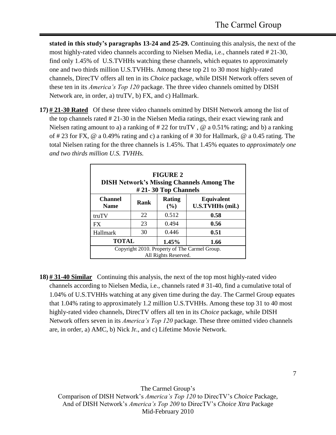**stated in this study's paragraphs 13-24 and 25-29.** Continuing this analysis, the next of the most highly-rated video channels according to Nielsen Media, i.e., channels rated # 21-30, find only 1.45% of U.S.TVHHs watching these channels, which equates to approximately one and two thirds million U.S.TVHHs. Among these top 21 to 30 most highly-rated channels, DirecTV offers all ten in its *Choice* package, while DISH Network offers seven of these ten in its *America's Top 120* package. The three video channels omitted by DISH Network are, in order, a) truTV, b) FX, and c) Hallmark.

**17) # 21-30 Rated** Of these three video channels omitted by DISH Network among the list of the top channels rated # 21-30 in the Nielsen Media ratings, their exact viewing rank and Nielsen rating amount to a) a ranking of #22 for truTV, @ a 0.51% rating; and b) a ranking of # 23 for FX, @ a 0.49% rating and c) a ranking of # 30 for Hallmark, @ a 0.45 rating. The total Nielsen rating for the three channels is 1.45%. That 1.45% equates to *approximately one and two thirds million U.S. TVHHs.* 

| <b>FIGURE 2</b><br><b>DISH Network's Missing Channels Among The</b><br>#21-30 Top Channels |      |               |                                       |
|--------------------------------------------------------------------------------------------|------|---------------|---------------------------------------|
| <b>Channel</b><br><b>Name</b>                                                              | Rank | Rating<br>(%) | <b>Equivalent</b><br>U.S.TVHHs (mil.) |
| truTV                                                                                      | 22   | 0.512         | 0.58                                  |
| <b>FX</b>                                                                                  | 23   | 0.494         | 0.56                                  |
| Hallmark                                                                                   | 30   | 0.446         | 0.51                                  |
| <b>TOTAL</b><br>1.45%                                                                      |      | 1.66          |                                       |
| Copyright 2010. Property of The Carmel Group.<br>All Rights Reserved.                      |      |               |                                       |

**18) # 31-40 Similar** Continuing this analysis, the next of the top most highly-rated video channels according to Nielsen Media, i.e., channels rated # 31-40, find a cumulative total of 1.04% of U.S.TVHHs watching at any given time during the day. The Carmel Group equates that 1.04% rating to approximately 1.2 million U.S.TVHHs. Among these top 31 to 40 most highly-rated video channels, DirecTV offers all ten in its *Choice* package, while DISH Network offers seven in its *America's Top 120* package. These three omitted video channels are, in order, a) AMC, b) Nick Jr., and c) Lifetime Movie Network.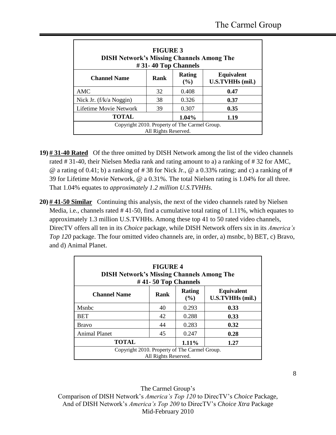| <b>FIGURE 3</b><br><b>DISH Network's Missing Channels Among The</b><br>#31-40 Top Channels |      |                      |                                              |  |  |
|--------------------------------------------------------------------------------------------|------|----------------------|----------------------------------------------|--|--|
| <b>Channel Name</b>                                                                        | Rank | <b>Rating</b><br>(%) | <b>Equivalent</b><br><b>U.S.TVHHs</b> (mil.) |  |  |
| AMC                                                                                        | 32   | 0.408                | 0.47                                         |  |  |
| Nick Jr. (f/k/a Noggin)                                                                    | 38   | 0.326                | 0.37                                         |  |  |
| Lifetime Movie Network                                                                     | 39   | 0.307                | 0.35                                         |  |  |
| <b>TOTAL</b>                                                                               |      | 1.04%                | 1.19                                         |  |  |
| Copyright 2010. Property of The Carmel Group.<br>All Rights Reserved.                      |      |                      |                                              |  |  |

- **19) # 31-40 Rated** Of the three omitted by DISH Network among the list of the video channels rated # 31-40, their Nielsen Media rank and rating amount to a) a ranking of # 32 for AMC,  $\omega$  a rating of 0.41; b) a ranking of #38 for Nick Jr.,  $\omega$  a 0.33% rating; and c) a ranking of # 39 for Lifetime Movie Network, @ a 0.31%. The total Nielsen rating is 1.04% for all three. That 1.04% equates to *approximately 1.2 million U.S.TVHHs.*
- **20) # 41-50 Similar** Continuing this analysis, the next of the video channels rated by Nielsen Media, i.e., channels rated #41-50, find a cumulative total rating of 1.11%, which equates to approximately 1.3 million U.S.TVHHs. Among these top 41 to 50 rated video channels, DirecTV offers all ten in its *Choice* package, while DISH Network offers six in its *America's Top 120* package. The four omitted video channels are, in order, a) msnbc, b) BET, c) Bravo, and d) Animal Planet.

| <b>FIGURE 4</b><br><b>DISH Network's Missing Channels Among The</b><br>$#41-50$ Top Channels |      |               |                                       |  |
|----------------------------------------------------------------------------------------------|------|---------------|---------------------------------------|--|
| <b>Channel Name</b>                                                                          | Rank | Rating<br>(%) | <b>Equivalent</b><br>U.S.TVHHs (mil.) |  |
| Msnbc                                                                                        | 40   | 0.293         | 0.33                                  |  |
| <b>BET</b>                                                                                   | 42   | 0.288         | 0.33                                  |  |
| <b>Bravo</b>                                                                                 | 44   | 0.283         | 0.32                                  |  |
| <b>Animal Planet</b>                                                                         | 45   | 0.247         | 0.28                                  |  |
| <b>TOTAL</b>                                                                                 |      | 1.11%         | 1.27                                  |  |
| Copyright 2010. Property of The Carmel Group.<br>All Rights Reserved.                        |      |               |                                       |  |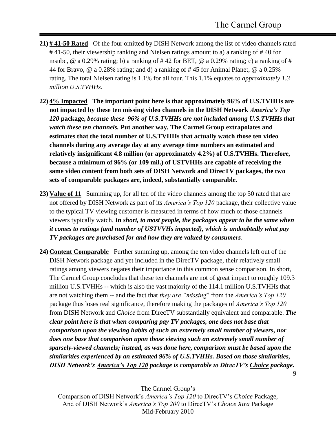9

- **21) # 41-50 Rated** Of the four omitted by DISH Network among the list of video channels rated # 41-50, their viewership ranking and Nielsen ratings amount to a) a ranking of # 40 for msnbc,  $\omega$  a 0.29% rating; b) a ranking of #42 for BET,  $\omega$  a 0.29% rating; c) a ranking of # 44 for Bravo, @ a 0.28% rating; and d) a ranking of # 45 for Animal Planet, @ a 0.25% rating. The total Nielsen rating is 1.1% for all four. This 1.1% equates to *approximately 1.3 million U.S.TVHHs.*
- **22) 4% Impacted The important point here is that approximately 96% of U.S.TVHHs are not impacted by these ten missing video channels in the DISH Network** *America's Top 120* **package,** *because these 96% of U.S.TVHHs are not included among U.S.TVHHs that watch these ten channels.* **Put another way, The Carmel Group extrapolates and estimates that the total number of U.S.TVHHs that actually watch those ten video channels during any average day at any average time numbers an estimated and relatively insignificant 4.8 million (or approximately 4.2%) of U.S.TVHHs. Therefore, because a minimum of 96% (or 109 mil.) of USTVHHs are capable of receiving the same video content from both sets of DISH Network and DirecTV packages, the two sets of comparable packages are, indeed, substantially comparable.**
- **23) Value of 11** Summing up, for all ten of the video channels among the top 50 rated that are not offered by DISH Network as part of its *America's Top 120* package, their collective value to the typical TV viewing customer is measured in terms of how much of those channels viewers typically watch. *In short, to most people, the packages appear to be the same when it comes to ratings (and number of USTVVHs impacted), which is undoubtedly what pay TV packages are purchased for and how they are valued by consumers*.
- **24) Content Comparable** Further summing up, among the ten video channels left out of the DISH Network package and yet included in the DirecTV package, their relatively small ratings among viewers negates their importance in this common sense comparison. In short, The Carmel Group concludes that these ten channels are not of great impact to roughly 109.3 million U.S.TVHHs -- which is also the vast majorit*y* of the 114.1 million U.S.TVHHs that are not watching them -- and the fact that *they are "missin*g" from the *America's Top 120* package thus loses real significance, therefore making the packages of *America's Top 120* from DISH Network and *Choice* from DirecTV substantially equivalent and comparable. *The clear point here is that when comparing pay TV packages, one does not base that comparison upon the viewing habits of such an extremely small number of viewers, nor does one base that comparison upon those viewing such an extremely small number of sparsely-viewed channels; instead, as was done here, comparison must be based upon the similarities experienced by an estimated 96% of U.S.TVHHs. Based on those similarities, DISH Network's America's Top 120 package is comparable to DirecTV's Choice package.*

The Carmel Group's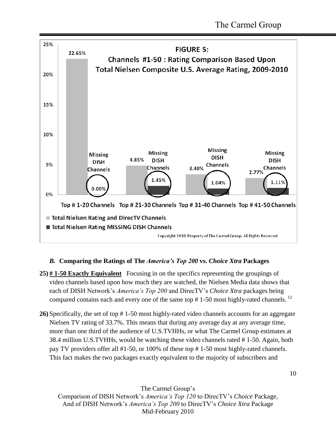

#### *B.* **Comparing the Ratings of The** *America's Top 200* **vs.** *Choice Xtra* **Packages**

- **25) # 1-50 Exactly Equivalent** Focusing in on the specifics representing the groupings of video channels based upon how much they are watched, the Nielsen Media data shows that each of DISH Network's *America's Top 200* and DirecTV's *Choice Xtra* packages being compared contains each and every one of the same top  $# 1-50$  most highly-rated channels.<sup>12</sup>
- **26)** Specifically, the set of top # 1-50 most highly-rated video channels accounts for an aggregate Nielsen TV rating of 33.7%. This means that during any average day at any average time, more than one third of the audience of U.S.TVHHs, or what The Carmel Group estimates at 38.4 million U.S.TVHHs, would be watching these video channels rated # 1-50. Again, both pay TV providers offer all #1-50, or 100% of these top # 1-50 most highly-rated channels. This fact makes the two packages exactly equivalent to the majority of subscribers and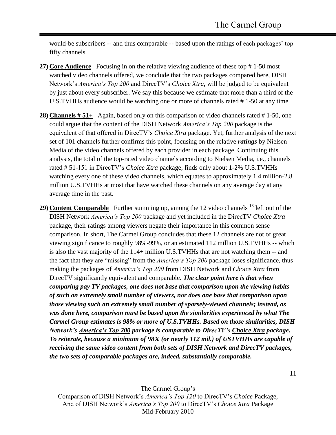would-be subscribers -- and thus comparable -- based upon the ratings of each packages' top fifty channels.

- **27) Core Audience** Focusing in on the relative viewing audience of these top # 1-50 most watched video channels offered, we conclude that the two packages compared here, DISH Network's *America's Top 200* and DirecTV's *Choice Xtra*, will be judged to be equivalent by just about every subscriber. We say this because we estimate that more than a third of the U.S.TVHHs audience would be watching one or more of channels rated # 1-50 at any time
- **28) Channels # 51+** Again, based only on this comparison of video channels rated # 1-50, one could argue that the content of the DISH Network *America's Top 200* package is the equivalent of that offered in DirecTV's *Choice Xtra* package. Yet, further analysis of the next set of 101 channels further confirms this point, focusing on the relative *ratings* by Nielsen Media of the video channels offered by each provider in each package. Continuing this analysis, the total of the top-rated video channels according to Nielsen Media, i.e., channels rated # 51-151 in DirecTV's *Choice Xtra* package, finds only about 1-2% U.S.TVHHs watching every one of these video channels, which equates to approximately 1.4 million-2.8 million U.S.TVHHs at most that have watched these channels on any average day at any average time in the past.
- **29) Content Comparable** Further summing up, among the 12 video channels <sup>13</sup> left out of the DISH Network *America's Top 200* package and yet included in the DirecTV *Choice Xtra* package, their ratings among viewers negate their importance in this common sense comparison. In short, The Carmel Group concludes that these 12 channels are not of great viewing significance to roughly 98%-99%, or an estimated 112 million U.S.TVHHs -- which is also the vast majorit*y* of the 114+ million U.S.TVHHs that are not watching them -- and the fact that they are "missing" from the *America's Top 200* package loses significance, thus making the packages of *America's Top 200* from DISH Network and *Choice Xtra* from DirecTV significantly equivalent and comparable. *The clear point here is that when comparing pay TV packages, one does not base that comparison upon the viewing habits of such an extremely small number of viewers, nor does one base that comparison upon those viewing such an extremely small number of sparsely-viewed channels; instead, as was done here, comparison must be based upon the similarities experienced by what The Carmel Group estimates is 98% or more of U.S.TVHHs. Based on those similarities, DISH Network's America's Top 200 package is comparable to DirecTV's Choice Xtra package. To reiterate, because a minimum of 98% (or nearly 112 mil.) of USTVHHs are capable of receiving the same video content from both sets of DISH Network and DirecTV packages, the two sets of comparable packages are, indeed, substantially comparable.*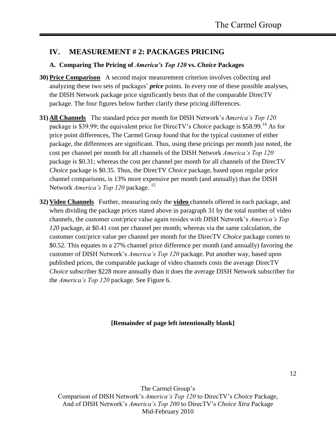## **IV. MEASUREMENT # 2: PACKAGES PRICING**

#### **A. Comparing The Pricing of** *America's Top 120* **vs.** *Choice* **Packages**

- **30) Price Comparison** A second major measurement criterion involves collecting and analyzing these two sets of packages' *price* points. In every one of these possible analyses, the DISH Network package price significantly bests that of the comparable DirecTV package. The four figures below further clarify these pricing differences.
- **31) All Channels** The standard price per month for DISH Network's *America's Top 120* package is \$39.99; the equivalent price for DirecTV's *Choice* package is \$58.99.<sup>14</sup> As for price point differences, The Carmel Group found that for the typical customer of either package, the differences are significant. Thus, using these pricings per month just noted, the cost per channel per month for all channels of the DISH Network *America's Top 120* package is \$0.31; whereas the cost per channel per month for all channels of the DirecTV *Choice* package is \$0.35. Thus, the DirecTV *Choice* package, based upon regular price channel comparisons, is 13% more expensive per month (and annually) than the DISH Network *America's Top 120* package. <sup>15</sup>
- **32) Video Channels** Further, measuring only the **video** channels offered in each package, and when dividing the package prices stated above in paragraph 31 by the total number of video channels, the customer cost/price value again resides with DISH Network's *America's Top 120* package, at \$0.41 cost per channel per month; whereas via the same calculation, the customer cost/price value per channel per month for the DirecTV *Choice* package comes to \$0.52. This equates to a 27% channel price difference per month (and annually) favoring the customer of DISH Network's *America's Top 120* package. Put another way, based upon published prices, the comparable package of video channels costs the average DirecTV *Choice* subscriber \$228 more annually than it does the average DISH Network subscriber for the *America's Top 120* package. See Figure 6.

#### **[Remainder of page left intentionally blank]**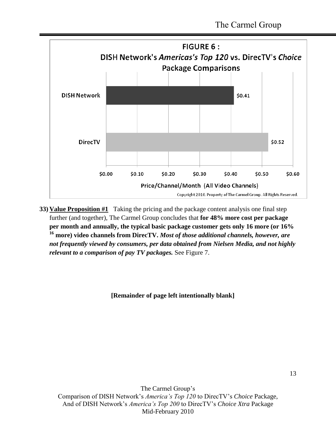

**33) Value Proposition #1** Taking the pricing and the package content analysis one final step further (and together), The Carmel Group concludes that **for 48% more cost per package per month and annually, the typical basic package customer gets only 16 more (or 16% <sup>16</sup> more) video channels from DirecTV.** *Most of those additional channels, however, are not frequently viewed by consumers, per data obtained from Nielsen Media, and not highly relevant to a comparison of pay TV packages.* See Figure 7.

#### **[Remainder of page left intentionally blank]**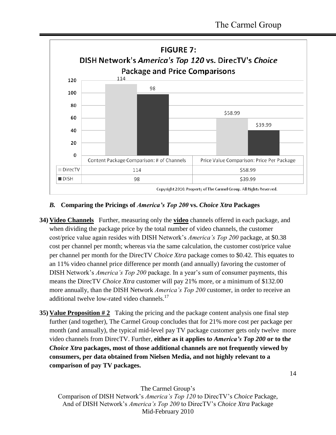

#### *B.* **Comparing the Pricings of** *America's Top 200* **vs.** *Choice Xtra* **Packages**

- **34) Video Channels** Further, measuring only the **video** channels offered in each package, and when dividing the package price by the total number of video channels, the customer cost/price value again resides with DISH Network's *America's Top 200* package, at \$0.38 cost per channel per month; whereas via the same calculation, the customer cost/price value per channel per month for the DirecTV *Choice Xtra* package comes to \$0.42. This equates to an 11% video channel price difference per month (and annually) favoring the customer of DISH Network's *America's Top 200* package. In a year's sum of consumer payments, this means the DirecTV *Choice Xtra* customer will pay 21% more, or a minimum of \$132.00 more annually, than the DISH Network *America's Top 200* customer, in order to receive an additional twelve low-rated video channels.<sup>17</sup>
- **35) Value Proposition #2** Taking the pricing and the package content analysis one final step further (and together), The Carmel Group concludes that for 21% more cost per package per month (and annually), the typical mid-level pay TV package customer gets only twelve more video channels from DirecTV. Further, **either as it applies t***o America's Top 200* **or to th***e Choice Xtra* **packages, most of those additional channels are not frequently viewed by consumers, per data obtained from Nielsen Media, and not highly relevant to a comparison of pay TV packages.**

14

The Carmel Group's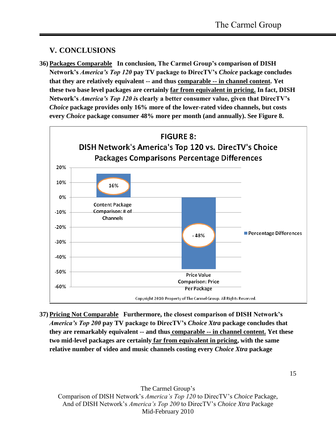## **V. CONCLUSIONS**

**36) Packages Comparable In conclusion, The Carmel Group's comparison of DISH Network's** *America's Top 120* **pay TV package to DirecTV's** *Choice* **package concludes that they are relatively equivalent -- and thus comparable -- in channel content. Yet these two base level packages are certainly far from equivalent in pricing. In fact, DISH Network's** *America's Top 120 i***s clearly a better consumer value, given that DirecTV's**  *Choice* **package provides only 16% more of the lower-rated video channels, but costs every** *Choice* **package consumer 48% more per month (and annually). See Figure 8.**



**37) Pricing Not Comparable Furthermore, the closest comparison of DISH Network's** *America's Top 200* **pay TV package to DirecTV's** *Choice Xtra* **package concludes that they are remarkably equivalent -- and thus comparable -- in channel content. Yet these two mid-level packages are certainly far from equivalent in pricing, with the same relative number of video and music channels costing every** *Choice Xtra* **package**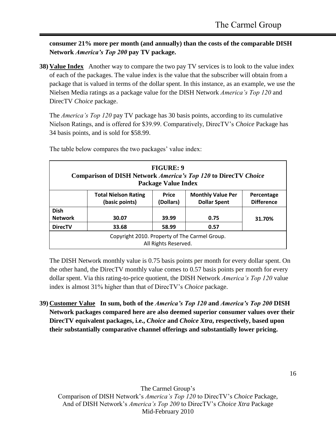**consumer 21% more per month (and annually) than the costs of the comparable DISH Network** *America's Top 200* **pay TV package.**

**38) Value Index** Another way to compare the two pay TV services is to look to the value index of each of the packages. The value index is the value that the subscriber will obtain from a package that is valued in terms of the dollar spent. In this instance, as an example, we use the Nielsen Media ratings as a package value for the DISH Network *America's Top 120* and DirecTV *Choice* package.

The *America's Top 120* pay TV package has 30 basis points, according to its cumulative Nielson Ratings, and is offered for \$39.99. Comparatively, DirecTV's *Choice* Package has 34 basis points, and is sold for \$58.99.

| <b>FIGURE: 9</b><br><b>Comparison of DISH Network America's Top 120 to DirecTV Choice</b><br><b>Package Value Index</b> |                                               |                           |                                                 |                                 |
|-------------------------------------------------------------------------------------------------------------------------|-----------------------------------------------|---------------------------|-------------------------------------------------|---------------------------------|
|                                                                                                                         | <b>Total Nielson Rating</b><br>(basic points) | <b>Price</b><br>(Dollars) | <b>Monthly Value Per</b><br><b>Dollar Spent</b> | Percentage<br><b>Difference</b> |
| <b>Dish</b><br><b>Network</b>                                                                                           | 30.07                                         | 39.99                     | 0.75                                            | 31.70%                          |
| <b>DirecTV</b>                                                                                                          | 33.68                                         | 58.99                     | 0.57                                            |                                 |
| Copyright 2010. Property of The Carmel Group.<br>All Rights Reserved.                                                   |                                               |                           |                                                 |                                 |

The table below compares the two packages' value index:

The DISH Network monthly value is 0.75 basis points per month for every dollar spent. On the other hand, the DirecTV monthly value comes to 0.57 basis points per month for every dollar spent. Via this rating-to-price quotient, the DISH Network *America's Top 120* value index is almost 31% higher than that of DirecTV's *Choice* package.

**39) Customer Value In sum, both of the** *America's Top 120* **and** *America's Top 200* **DISH Network packages compared here are also deemed superior consumer values over their DirecTV equivalent packages, i.e.,** *Choice* **and** *Choice Xtra***, respectively, based upon their substantially comparative channel offerings and substantially lower pricing.**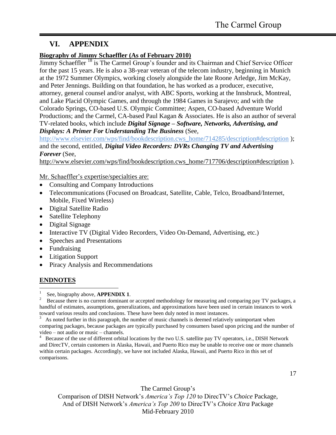# **VI. APPENDIX**

### **Biography of Jimmy Schaeffler (As of February 2010)**

Jimmy Schaeffler<sup>18</sup> is The Carmel Group's founder and its Chairman and Chief Service Officer for the past 15 years. He is also a 38-year veteran of the telecom industry, beginning in Munich at the 1972 Summer Olympics, working closely alongside the late Roone Arledge, Jim McKay, and Peter Jennings. Building on that foundation, he has worked as a producer, executive, attorney, general counsel and/or analyst, with ABC Sports, working at the Innsbruck, Montreal, and Lake Placid Olympic Games, and through the 1984 Games in Sarajevo; and with the Colorado Springs, CO-based U.S. Olympic Committee; Aspen, CO-based Adventure World Productions; and the Carmel, CA-based Paul Kagan & Associates. He is also an author of several TV-related books, which include *Digital Signage – Software, Networks, Advertising, and Displays: A Primer For Understanding The Business* (See,

[http://www.elsevier.com/wps/find/bookdescription.cws\\_home/714285/description#description](http://www.elsevier.com/wps/find/bookdescription.cws_home/714285/description#description) ); and the second, entitled, *Digital Video Recorders: DVRs Changing TV and Advertising Forever* (See,

[http://www.elsevier.com/wps/find/bookdescription.cws\\_home/717706/description#description](http://www.elsevier.com/wps/find/bookdescription.cws_home/717706/description#description) ).

Mr. Schaeffler's expertise/specialties are:

- Consulting and Company Introductions
- Telecommunications (Focused on Broadcast, Satellite, Cable, Telco, Broadband/Internet, Mobile, Fixed Wireless)
- Digital Satellite Radio
- Satellite Telephony
- Digital Signage
- Interactive TV (Digital Video Recorders, Video On-Demand, Advertising, etc.)
- Speeches and Presentations
- Fundraising
- Litigation Support
- Piracy Analysis and Recommendations

# **ENDNOTES**

 $\frac{1}{1}$ See, biography above, **APPENDIX 1**.

2 Because there is no current dominant or accepted methodology for measuring and comparing pay TV packages, a handful of estimates, assumptions, generalizations, and approximations have been used in certain instances to work toward various results and conclusions. These have been duly noted in most instances.

3 As noted further in this paragraph, the number of music channels is deemed relatively unimportant when comparing packages, because packages are typically purchased by consumers based upon pricing and the number of video – not audio or music – channels.

4 Because of the use of different orbital locations by the two U.S. satellite pay TV operators, i.e., DISH Network and DirecTV, certain customers in Alaska, Hawaii, and Puerto Rico may be unable to receive one or more channels within certain packages. Accordingly, we have not included Alaska, Hawaii, and Puerto Rico in this set of comparisons.

The Carmel Group's Comparison of DISH Network's *America's Top 120* to DirecTV's *Choice* Package, And of DISH Network's *America's Top 200* to DirecTV's *Choice Xtra* Package Mid-February 2010

#### 17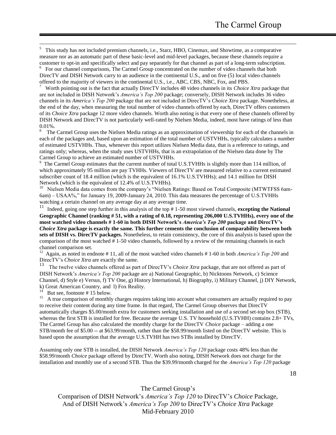5 This study has not included premium channels, i.e., Starz, HBO, Cinemax, and Showtime, as a comparative measure nor as an automatic part of these basic-level and mid-level packages, because these channels require a customer to opt-in and specifically select and pay separately for that channel as part of a long-term subscription.

<sup>6</sup> For our channel comparisons, The Carmel Group concentrated on the number of video channels that both DirecTV and DISH Network carry to an audience in the continental U.S., and on five (5) local video channels offered to the majority of viewers in the continental U.S., i.e., ABC, CBS, NBC, Fox, and PBS.

7 Worth pointing out is the fact that actually DirecTV includes 48 video channels in its *Choice Xtra* package that are not included in DISH Network's *America's Top 200* package; conversely, DISH Network includes 36 video channels in its *America's Top 200* package that are not included in DirecTV's *Choice Xtra* package. Nonetheless, at the end of the day, when measuring the total number of video channels offered by each, DirecTV offers customers of its *Choice Xtra* package 12 more video channels. Worth also noting is that every one of these channels offered by DISH Network and DirecTV is not particularly well-rated by Nielsen Media, indeed, most have ratings of less than 0.01%.

8 The Carmel Group uses the Nielsen Media ratings as an approximation of viewership for each of the channels in each of the packages and, based upon an estimation of the total number of USTVHHs, typically calculates a number of estimated USTVHHs. Thus, whenever this report utilizes Nielsen Media data, that is a reference to ratings, and ratings only; whereas, when the study uses USTVHHs, that is an extrapolation of the Nielsen data done by The Carmel Group to achieve an estimated number of USTVHHs.

<sup>9</sup> The Carmel Group estimates that the current number of total U.S.TVHHs is slightly more than 114 million, of which approximately 95 million are pay TVHHs. Viewers of DirecTV are measured relative to a current estimated subscriber count of 18.4 million (which is the equivalent of 16.1% U.S.TVHHs); and 14.1 million for DISH Network (which is the equivalent of 12.4% of U.S.TVHHs).

<sup>10</sup> Nielsen Media data comes from the company's "Nielsen Ratings: Based on Total Composite (MTWTFSS 6am-6am) – USAA%," for January 19, 2009-January 24, 2010. This data measures the percentage of U.S.TVHHs watching a certain channel on any average day at any average time.

<sup>11</sup> Indeed, going one step further in this analysis of the top # 1-50 most viewed channels, **excepting the National Geographic Channel (ranking # 51, with a rating of 0.18, representing 206,000 U.S.TVHHs), every one of the most watched video channels # 1-60 in both DISH Network's** *America's Top 200* **package and DirecTV's** *Choice Xtra* **package is exactly the same. This further cements the conclusion of comparability between both sets of DISH vs. DirecTV packages.** Nonetheless, to retain consistency, the core of this analysis is based upon the comparison of the most watched # 1-50 video channels, followed by a review of the remaining channels in each channel comparison set.

<sup>12</sup> Again, as noted in endnote #11, all of the most watched video channels #1-60 in both *America's Top 200* and DirecTV's *Choice Xtra* are exactly the same.

13 The twelve video channels offered as part of DirecTV's *Choice Xtra* package, that are not offered as part of DISH Network's *America's Top 200* package are a) National Geographic, b) Nicktoons Network, c) Science Channel, d) Style e) Versus, f) TV One, g) History International, h) Biography, i) Military Channel, j) DIY Network, k) Great American Country, and l) Fox Reality.

14 But see, footnote # 15 below.

 $\overline{a}$ 

15 A true comparison of monthly charges requires taking into account what consumers are actually required to pay to receive their content during any time frame. In that regard, The Carmel Group observes that DirecTV automatically charges \$5.00/month extra for customers seeking installation and use of a second set-top box (STB), whereas the first STB is installed for free. Because the average U.S. TV household (U.S.TVHH) contains  $2.8+$  TVs, The Carmel Group has also calculated the monthly charge for the DirecTV *Choice* package – adding a one STB/month fee of \$5.00 -- at \$63.99/month, rather than the \$58.99/month listed on the DirecTV website. This is based upon the assumption that the average U.S.TVHH has two STBs installed by DirecTV.

Assuming only one STB is installed, the DISH Network *America's Top 120* package costs 48% less than the \$58.99/month *Choice* package offered by DirecTV. Worth also noting, DISH Network does not charge for the installation and monthly use of a second STB. Thus the \$39.99/month charged for the *America's Top 120* package

The Carmel Group's Comparison of DISH Network's *America's Top 120* to DirecTV's *Choice* Package, And of DISH Network's *America's Top 200* to DirecTV's *Choice Xtra* Package Mid-February 2010

18